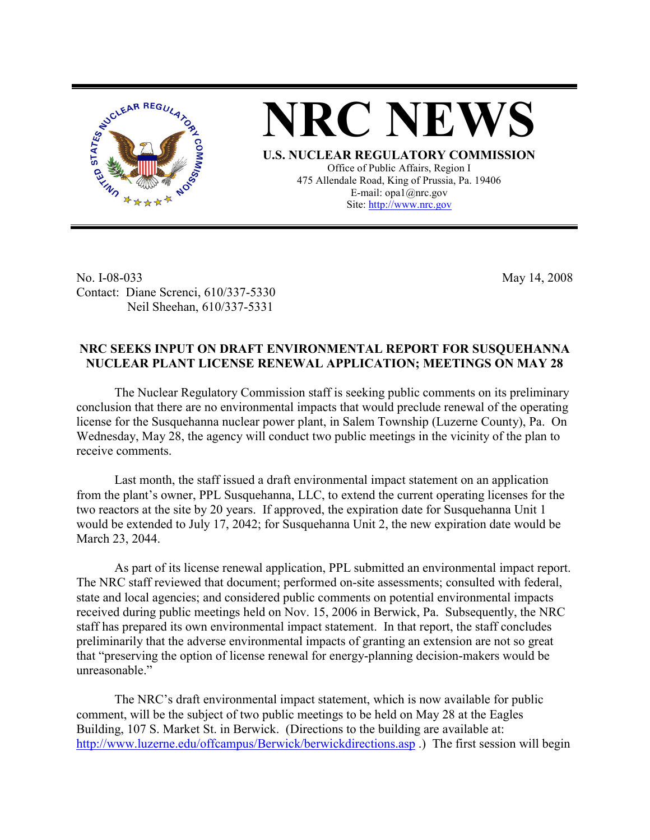

**NRC NEWS**

**U.S. NUCLEAR REGULATORY COMMISSION** Office of Public Affairs, Region I 475 Allendale Road, King of Prussia, Pa. 19406 E-mail: opa1@nrc.gov Site: http://www.nrc.gov

No. I-08-033 Contact: Diane Screnci, 610/337-5330 Neil Sheehan, 610/337-5331

May 14, 2008

## **NRC SEEKS INPUT ON DRAFT ENVIRONMENTAL REPORT FOR SUSQUEHANNA NUCLEAR PLANT LICENSE RENEWAL APPLICATION; MEETINGS ON MAY 28**

The Nuclear Regulatory Commission staff is seeking public comments on its preliminary conclusion that there are no environmental impacts that would preclude renewal of the operating license for the Susquehanna nuclear power plant, in Salem Township (Luzerne County), Pa. On Wednesday, May 28, the agency will conduct two public meetings in the vicinity of the plan to receive comments.

Last month, the staff issued a draft environmental impact statement on an application from the plant's owner, PPL Susquehanna, LLC, to extend the current operating licenses for the two reactors at the site by 20 years. If approved, the expiration date for Susquehanna Unit 1 would be extended to July 17, 2042; for Susquehanna Unit 2, the new expiration date would be March 23, 2044.

As part of its license renewal application, PPL submitted an environmental impact report. The NRC staff reviewed that document; performed on-site assessments; consulted with federal, state and local agencies; and considered public comments on potential environmental impacts received during public meetings held on Nov. 15, 2006 in Berwick, Pa. Subsequently, the NRC staff has prepared its own environmental impact statement. In that report, the staff concludes preliminarily that the adverse environmental impacts of granting an extension are not so great that "preserving the option of license renewal for energy-planning decision-makers would be unreasonable."

The NRC's draft environmental impact statement, which is now available for public comment, will be the subject of two public meetings to be held on May 28 at the Eagles Building, 107 S. Market St. in Berwick. (Directions to the building are available at: http://www.luzerne.edu/offcampus/Berwick/berwickdirections.asp .) The first session will begin